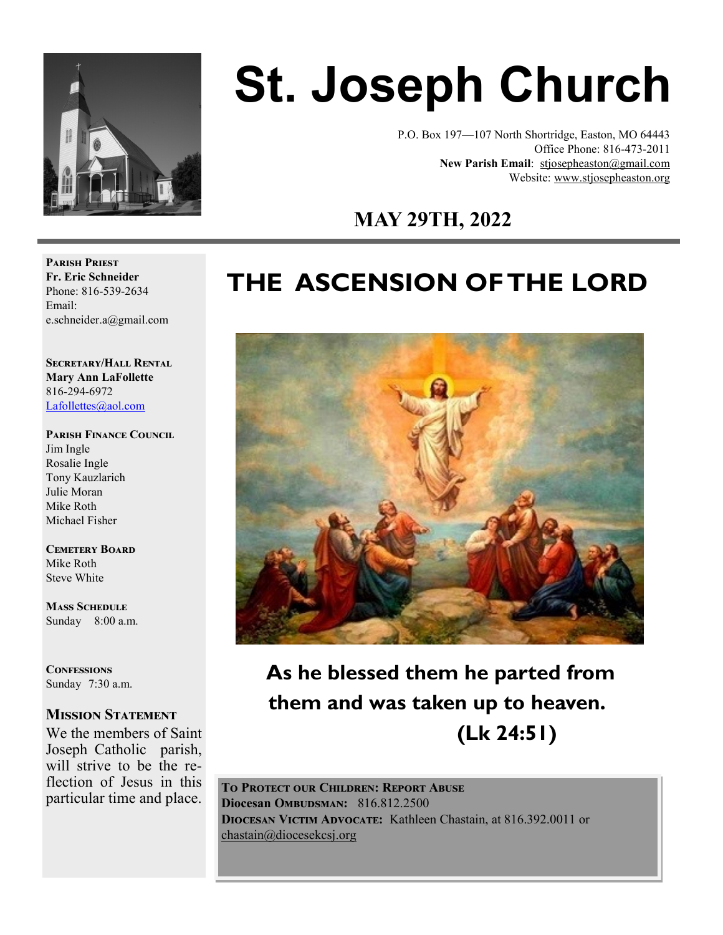

# **St. Joseph Church**

P.O. Box 197—107 North Shortridge, Easton, MO 64443 Office Phone: 816-473-2011 **New Parish Email**: stjosepheaston@gmail.com Website: www.stjosepheaston.org

# **MAY 29TH, 2022**

# **THE ASCENSION OF THE LORD**



 **As he blessed them he parted from them and was taken up to heaven. (Lk 24:51)**

**To Protect our Children: Report Abuse Diocesan OMBUDSMAN:** 816.812.2500 **Diocesan Victim Advocate:** Kathleen Chastain, at 816.392.0011 or [chastain@diocesekcsj.org](mailto:chastain@diocesekcsj.org) 

**Parish Priest Fr. Eric Schneider** Phone: 816-539-2634 Email: e.schneider.a@gmail.com

**Secretary/Hall Rental Mary Ann LaFollette** 816-294-6972 [Lafollettes@aol.com](mailto:Lafollettes@aol.com?subject=St.%20Joseph%20Parish%20Hall%20rental%20)

**Parish Finance Council** 

Jim Ingle Rosalie Ingle Tony Kauzlarich Julie Moran Mike Roth Michael Fisher

**Cemetery Board** Mike Roth Steve White

**Mass Schedule**  Sunday 8:00 a.m.

**Confessions** Sunday 7:30 a.m.

#### **Mission Statement**

We the members of Saint Joseph Catholic parish, will strive to be the reflection of Jesus in this particular time and place.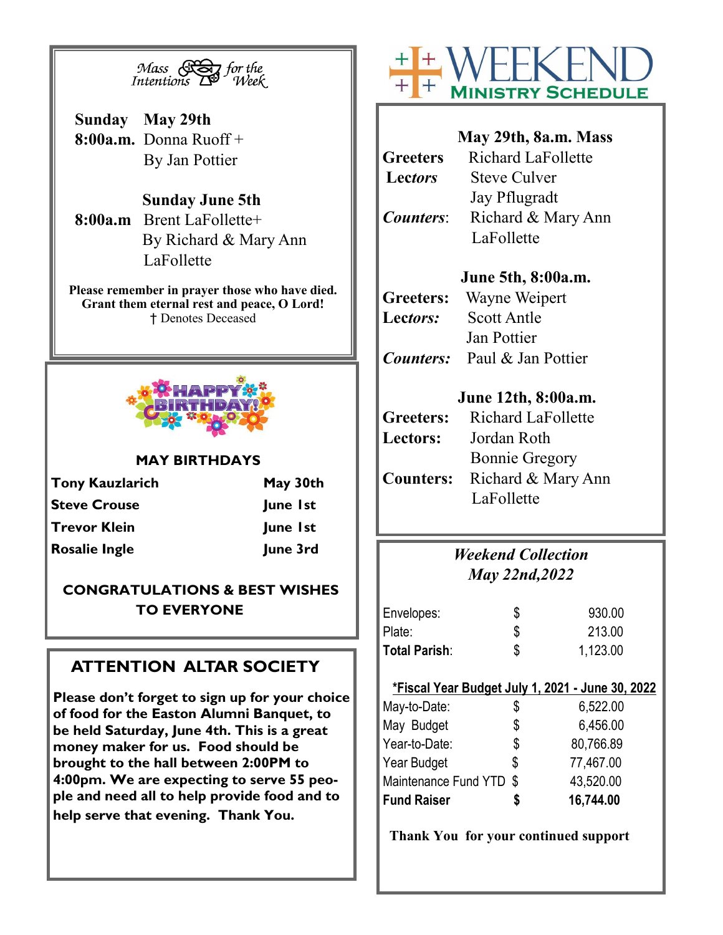

**Sunday May 29th 8:00a.m.** Donna Ruoff + By Jan Pottier

#### **Sunday June 5th**

**8:00a.m** Brent LaFollette+ By Richard & Mary Ann LaFollette

**Please remember in prayer those who have died. Grant them eternal rest and peace, O Lord!** † Denotes Deceased



#### **MAY BIRTHDAYS**

| <b>Tony Kauzlarich</b> | May 30th |  |
|------------------------|----------|--|
| <b>Steve Crouse</b>    | June 1st |  |
| <b>Trevor Klein</b>    | June 1st |  |
| <b>Rosalie Ingle</b>   | June 3rd |  |

#### **CONGRATULATIONS & BEST WISHES TO EVERYONE**

# **ATTENTION ALTAR SOCIETY**

**Please don't forget to sign up for your choice of food for the Easton Alumni Banquet, to be held Saturday, June 4th. This is a great money maker for us. Food should be brought to the hall between 2:00PM to 4:00pm. We are expecting to serve 55 people and need all to help provide food and to help serve that evening. Thank You.**



| May 29th, 8a.m. Mass                   |
|----------------------------------------|
| <b>Richard LaFollette</b>              |
| <b>Steve Culver</b>                    |
| Jay Pflugradt                          |
| Richard & Mary Ann                     |
| LaFollette                             |
|                                        |
| June 5th, 8:00a.m.                     |
| Wayne Weipert<br><b>Greeters:</b>      |
| <b>Scott Antle</b>                     |
| Jan Pottier                            |
| <b>Counters:</b> Paul & Jan Pottier    |
|                                        |
| June 12th, 8:00a.m.                    |
| <b>Richard LaFollette</b>              |
| Jordan Roth                            |
| <b>Bonnie Gregory</b>                  |
| <b>Counters:</b><br>Richard & Mary Ann |
| LaFollette                             |
|                                        |
|                                        |
| <b>Counters:</b>                       |

### *Weekend Collection May 22nd,2022*

| Envelopes:    | \$<br>930.00   |
|---------------|----------------|
| Plate:        | 213.00         |
| Total Parish: | \$<br>1,123.00 |

#### **\*Fiscal Year Budget July 1, 2021 - June 30, 2022**

| 16,744.00               |
|-------------------------|
| 43,520.00               |
| \$<br>77,467.00         |
| \$<br>80,766.89         |
| \$<br>6,456.00          |
| \$<br>6,522.00          |
| Maintenance Fund YTD \$ |

**Thank You for your continued support**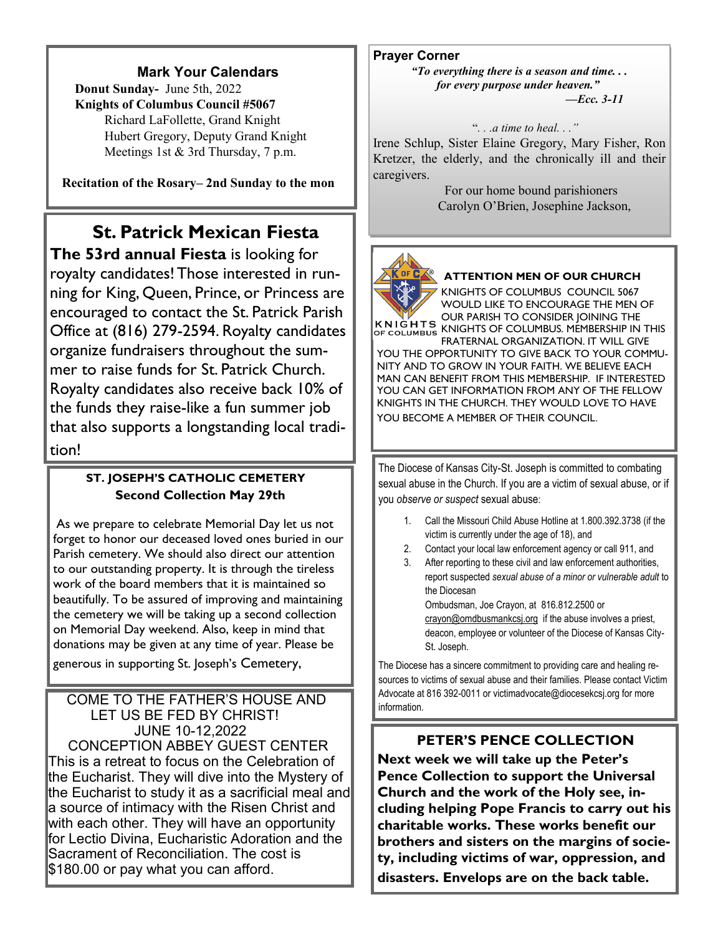#### **Mark Your Calendars**

 **Donut Sunday-** June 5th, 2022 **Knights of Columbus Council #5067**  Richard LaFollette, Grand Knight Hubert Gregory, Deputy Grand Knight Meetings 1st & 3rd Thursday, 7 p.m.

**Recitation of the Rosary– 2nd Sunday to the mon**

# **St. Patrick Mexican Fiesta**

**The 53rd annual Fiesta** is looking for royalty candidates! Those interested in running for King, Queen, Prince, or Princess are encouraged to contact the St. Patrick Parish Office at (816) 279-2594. Royalty candidates organize fundraisers throughout the summer to raise funds for St. Patrick Church. Royalty candidates also receive back 10% of the funds they raise-like a fun summer job that also supports a longstanding local tradition!

#### **ST. JOSEPH'S CATHOLIC CEMETERY Second Collection May 29th**

As we prepare to celebrate Memorial Day let us not forget to honor our deceased loved ones buried in our Parish cemetery. We should also direct our attention to our outstanding property. It is through the tireless work of the board members that it is maintained so beautifully. To be assured of improving and maintaining the cemetery we will be taking up a second collection on Memorial Day weekend. Also, keep in mind that donations may be given at any time of year. Please be generous in supporting St. Joseph's Cemetery,

#### COME TO THE FATHER'S HOUSE AND LET US BE FED BY CHRIST! JUNE 10-12,2022 CONCEPTION ABBEY GUEST CENTER This is a retreat to focus on the Celebration of the Eucharist. They will dive into the Mystery of the Eucharist to study it as a sacrificial meal and a source of intimacy with the Risen Christ and with each other. They will have an opportunity for Lectio Divina, Eucharistic Adoration and the Sacrament of Reconciliation. The cost is \$180.00 or pay what you can afford.

**Prayer Corner** *"To everything there is a season and time. . . for every purpose under heaven."* 

*—Ecc. 3-11* 

#### "*. . .a time to heal. . ."*

Irene Schlup, Sister Elaine Gregory, Mary Fisher, Ron Kretzer, the elderly, and the chronically ill and their caregivers.

> For our home bound parishioners Carolyn O'Brien, Josephine Jackson,



#### **ATTENTION MEN OF OUR CHURCH**

KNIGHTS OF COLUMBUS COUNCIL 5067 WOULD LIKE TO ENCOURAGE THE MEN OF OUR PARISH TO CONSIDER JOINING THE KNIGHTS OF COLUMBUS KNIGHTS OF COLUMBUS. MEMBERSHIP IN THIS

FRATERNAL ORGANIZATION. IT WILL GIVE YOU THE OPPORTUNITY TO GIVE BACK TO YOUR COMMU-NITY AND TO GROW IN YOUR FAITH. WE BELIEVE EACH MAN CAN BENEFIT FROM THIS MEMBERSHIP. IF INTERESTED YOU CAN GET INFORMATION FROM ANY OF THE FELLOW KNIGHTS IN THE CHURCH. THEY WOULD LOVE TO HAVE YOU BECOME A MEMBER OF THEIR COUNCIL.

The Diocese of Kansas City-St. Joseph is committed to combating sexual abuse in the Church. If you are a victim of sexual abuse, or if you *observe or suspect* sexual abuse:

- 1. Call the Missouri Child Abuse Hotline at 1.800.392.3738 (if the victim is currently under the age of 18), and
- 2. Contact your local law enforcement agency or call 911, and
- 3. After reporting to these civil and law enforcement authorities, report suspected *sexual abuse of a minor or vulnerable adult* to the Diocesan Ombudsman, Joe Crayon, at 816.812.2500 or

crayon@omdbusmankcsj.org if the abuse involves a priest, deacon, employee or volunteer of the Diocese of Kansas City-St. Joseph.

The Diocese has a sincere commitment to providing care and healing resources to victims of sexual abuse and their families. Please contact Victim Advocate at 816 392-0011 or victimadvocate@diocesekcsj.org for more information.

#### **PETER'S PENCE COLLECTION**

**Next week we will take up the Peter's Pence Collection to support the Universal Church and the work of the Holy see, including helping Pope Francis to carry out his charitable works. These works benefit our brothers and sisters on the margins of society, including victims of war, oppression, and disasters. Envelops are on the back table.**